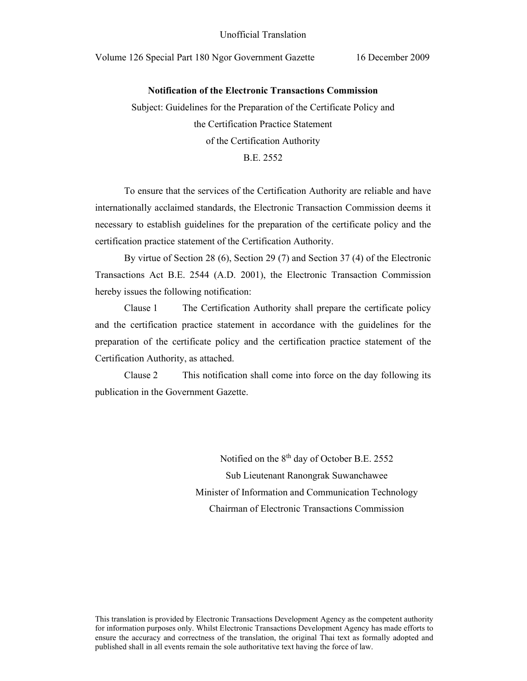### **Notification of the Electronic Transactions Commission**

Subject: Guidelines for the Preparation of the Certificate Policy and the Certification Practice Statement of the Certification Authority B.E. 2552

 To ensure that the services of the Certification Authority are reliable and have internationally acclaimed standards, the Electronic Transaction Commission deems it necessary to establish guidelines for the preparation of the certificate policy and the certification practice statement of the Certification Authority.

By virtue of Section 28 (6), Section 29 (7) and Section 37 (4) of the Electronic Transactions Act B.E. 2544 (A.D. 2001), the Electronic Transaction Commission hereby issues the following notification:

Clause 1 The Certification Authority shall prepare the certificate policy and the certification practice statement in accordance with the guidelines for the preparation of the certificate policy and the certification practice statement of the Certification Authority, as attached.

Clause 2 This notification shall come into force on the day following its publication in the Government Gazette.

> Notified on the 8<sup>th</sup> day of October B.E. 2552 Sub Lieutenant Ranongrak Suwanchawee Minister of Information and Communication Technology Chairman of Electronic Transactions Commission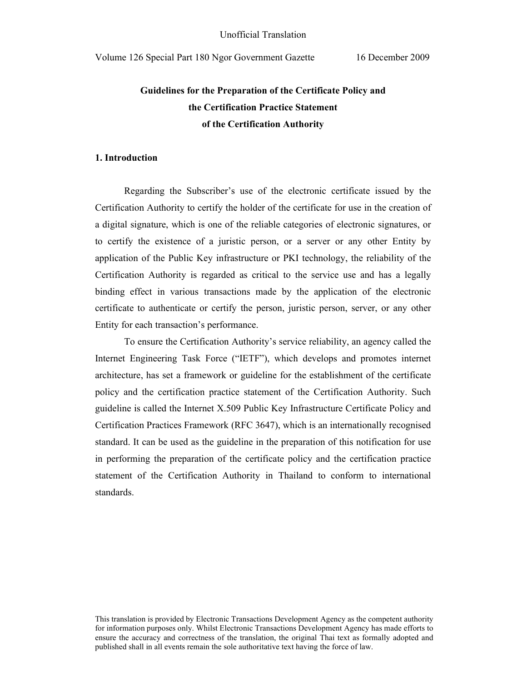# **Guidelines for the Preparation of the Certificate Policy and the Certification Practice Statement of the Certification Authority**

### **1. Introduction**

Regarding the Subscriber's use of the electronic certificate issued by the Certification Authority to certify the holder of the certificate for use in the creation of a digital signature, which is one of the reliable categories of electronic signatures, or to certify the existence of a juristic person, or a server or any other Entity by application of the Public Key infrastructure or PKI technology, the reliability of the Certification Authority is regarded as critical to the service use and has a legally binding effect in various transactions made by the application of the electronic certificate to authenticate or certify the person, juristic person, server, or any other Entity for each transaction's performance.

To ensure the Certification Authority's service reliability, an agency called the Internet Engineering Task Force ("IETF"), which develops and promotes internet architecture, has set a framework or guideline for the establishment of the certificate policy and the certification practice statement of the Certification Authority. Such guideline is called the Internet X.509 Public Key Infrastructure Certificate Policy and Certification Practices Framework (RFC 3647), which is an internationally recognised standard. It can be used as the guideline in the preparation of this notification for use in performing the preparation of the certificate policy and the certification practice statement of the Certification Authority in Thailand to conform to international standards.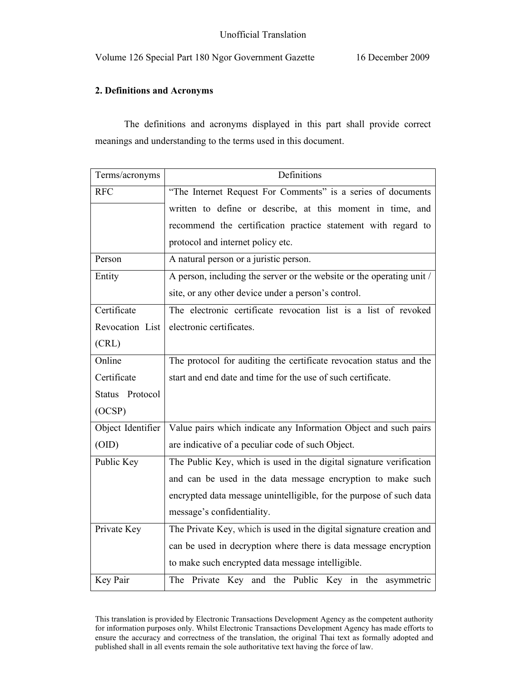## **2. Definitions and Acronyms**

The definitions and acronyms displayed in this part shall provide correct meanings and understanding to the terms used in this document.

| Terms/acronyms    | Definitions                                                           |
|-------------------|-----------------------------------------------------------------------|
| <b>RFC</b>        | "The Internet Request For Comments" is a series of documents          |
|                   | written to define or describe, at this moment in time, and            |
|                   | recommend the certification practice statement with regard to         |
|                   | protocol and internet policy etc.                                     |
| Person            | A natural person or a juristic person.                                |
| Entity            | A person, including the server or the website or the operating unit / |
|                   | site, or any other device under a person's control.                   |
| Certificate       | The electronic certificate revocation list is a list of revoked       |
| Revocation List   | electronic certificates.                                              |
| (CRL)             |                                                                       |
| Online            | The protocol for auditing the certificate revocation status and the   |
| Certificate       | start and end date and time for the use of such certificate.          |
| Status Protocol   |                                                                       |
| (OCSP)            |                                                                       |
| Object Identifier | Value pairs which indicate any Information Object and such pairs      |
| (OID)             | are indicative of a peculiar code of such Object.                     |
| Public Key        | The Public Key, which is used in the digital signature verification   |
|                   | and can be used in the data message encryption to make such           |
|                   | encrypted data message unintelligible, for the purpose of such data   |
|                   | message's confidentiality.                                            |
| Private Key       | The Private Key, which is used in the digital signature creation and  |
|                   | can be used in decryption where there is data message encryption      |
|                   | to make such encrypted data message intelligible.                     |
| Key Pair          | The Private Key and the Public Key in the asymmetric                  |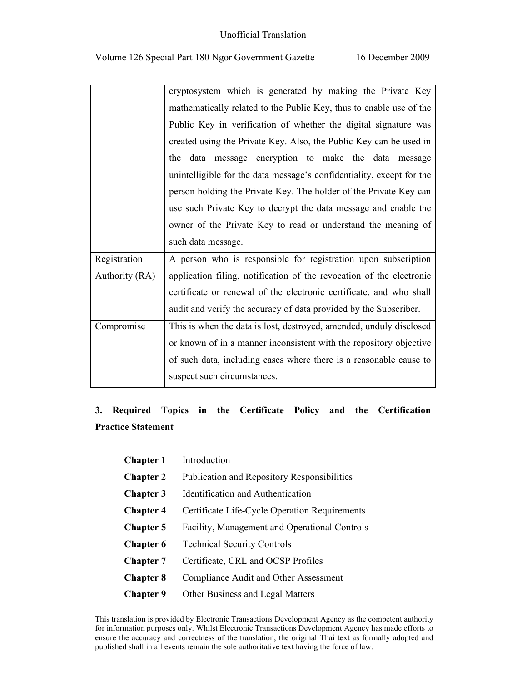|                | cryptosystem which is generated by making the Private Key             |
|----------------|-----------------------------------------------------------------------|
|                | mathematically related to the Public Key, thus to enable use of the   |
|                | Public Key in verification of whether the digital signature was       |
|                | created using the Private Key. Also, the Public Key can be used in    |
|                | the data message encryption to make the data message                  |
|                | unintelligible for the data message's confidentiality, except for the |
|                | person holding the Private Key. The holder of the Private Key can     |
|                | use such Private Key to decrypt the data message and enable the       |
|                | owner of the Private Key to read or understand the meaning of         |
|                |                                                                       |
|                | such data message.                                                    |
| Registration   | A person who is responsible for registration upon subscription        |
| Authority (RA) | application filing, notification of the revocation of the electronic  |
|                | certificate or renewal of the electronic certificate, and who shall   |
|                | audit and verify the accuracy of data provided by the Subscriber.     |
| Compromise     | This is when the data is lost, destroyed, amended, unduly disclosed   |
|                | or known of in a manner inconsistent with the repository objective    |
|                | of such data, including cases where there is a reasonable cause to    |

# **3. Required Topics in the Certificate Policy and the Certification Practice Statement**

| <b>Chapter 1</b> | Introduction                                       |
|------------------|----------------------------------------------------|
| <b>Chapter 2</b> | <b>Publication and Repository Responsibilities</b> |
| <b>Chapter 3</b> | Identification and Authentication                  |
| <b>Chapter 4</b> | Certificate Life-Cycle Operation Requirements      |
| <b>Chapter 5</b> | Facility, Management and Operational Controls      |
| <b>Chapter 6</b> | <b>Technical Security Controls</b>                 |
| <b>Chapter 7</b> | Certificate, CRL and OCSP Profiles                 |
| <b>Chapter 8</b> | Compliance Audit and Other Assessment              |
| <b>Chapter 9</b> | Other Business and Legal Matters                   |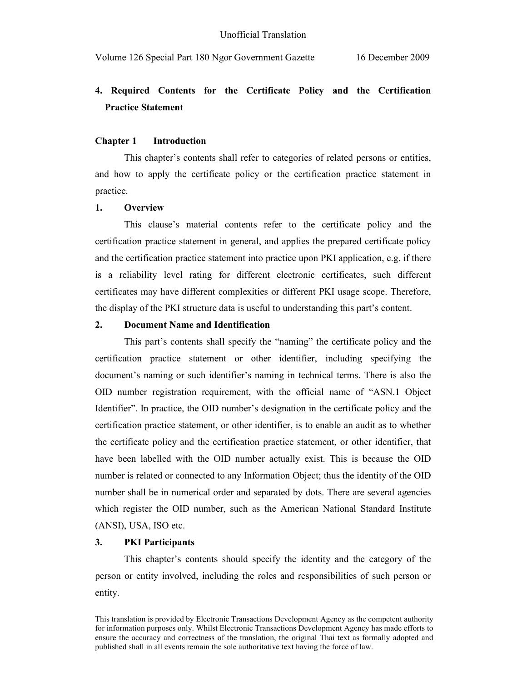# **4. Required Contents for the Certificate Policy and the Certification Practice Statement**

#### **Chapter 1 Introduction**

 This chapter's contents shall refer to categories of related persons or entities, and how to apply the certificate policy or the certification practice statement in practice.

### **1. Overview**

 This clause's material contents refer to the certificate policy and the certification practice statement in general, and applies the prepared certificate policy and the certification practice statement into practice upon PKI application, e.g. if there is a reliability level rating for different electronic certificates, such different certificates may have different complexities or different PKI usage scope. Therefore, the display of the PKI structure data is useful to understanding this part's content.

#### **2. Document Name and Identification**

 This part's contents shall specify the "naming" the certificate policy and the certification practice statement or other identifier, including specifying the document's naming or such identifier's naming in technical terms. There is also the OID number registration requirement, with the official name of "ASN.1 Object Identifier". In practice, the OID number's designation in the certificate policy and the certification practice statement, or other identifier, is to enable an audit as to whether the certificate policy and the certification practice statement, or other identifier, that have been labelled with the OID number actually exist. This is because the OID number is related or connected to any Information Object; thus the identity of the OID number shall be in numerical order and separated by dots. There are several agencies which register the OID number, such as the American National Standard Institute (ANSI), USA, ISO etc.

#### **3. PKI Participants**

This chapter's contents should specify the identity and the category of the person or entity involved, including the roles and responsibilities of such person or entity.

This translation is provided by Electronic Transactions Development Agency as the competent authority for information purposes only. Whilst Electronic Transactions Development Agency has made efforts to ensure the accuracy and correctness of the translation, the original Thai text as formally adopted and published shall in all events remain the sole authoritative text having the force of law.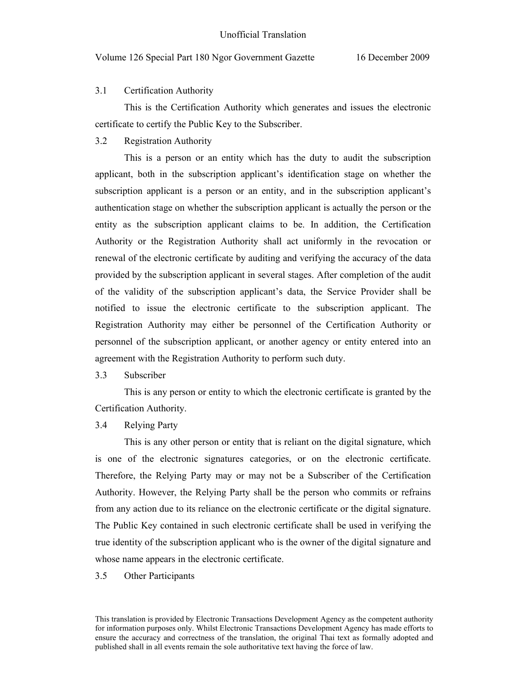### 3.1 Certification Authority

This is the Certification Authority which generates and issues the electronic certificate to certify the Public Key to the Subscriber.

3.2 Registration Authority

This is a person or an entity which has the duty to audit the subscription applicant, both in the subscription applicant's identification stage on whether the subscription applicant is a person or an entity, and in the subscription applicant's authentication stage on whether the subscription applicant is actually the person or the entity as the subscription applicant claims to be. In addition, the Certification Authority or the Registration Authority shall act uniformly in the revocation or renewal of the electronic certificate by auditing and verifying the accuracy of the data provided by the subscription applicant in several stages. After completion of the audit of the validity of the subscription applicant's data, the Service Provider shall be notified to issue the electronic certificate to the subscription applicant. The Registration Authority may either be personnel of the Certification Authority or personnel of the subscription applicant, or another agency or entity entered into an agreement with the Registration Authority to perform such duty.

3.3 Subscriber

 This is any person or entity to which the electronic certificate is granted by the Certification Authority.

3.4 Relying Party

This is any other person or entity that is reliant on the digital signature, which is one of the electronic signatures categories, or on the electronic certificate. Therefore, the Relying Party may or may not be a Subscriber of the Certification Authority. However, the Relying Party shall be the person who commits or refrains from any action due to its reliance on the electronic certificate or the digital signature. The Public Key contained in such electronic certificate shall be used in verifying the true identity of the subscription applicant who is the owner of the digital signature and whose name appears in the electronic certificate.

3.5 Other Participants

This translation is provided by Electronic Transactions Development Agency as the competent authority for information purposes only. Whilst Electronic Transactions Development Agency has made efforts to ensure the accuracy and correctness of the translation, the original Thai text as formally adopted and published shall in all events remain the sole authoritative text having the force of law.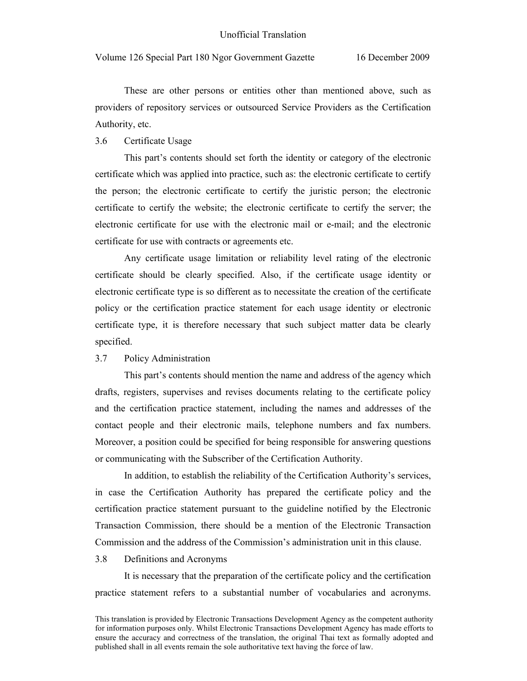#### Unofficial Translation

Volume 126 Special Part 180 Ngor Government Gazette 16 December 2009

These are other persons or entities other than mentioned above, such as providers of repository services or outsourced Service Providers as the Certification Authority, etc.

#### 3.6 Certificate Usage

 This part's contents should set forth the identity or category of the electronic certificate which was applied into practice, such as: the electronic certificate to certify the person; the electronic certificate to certify the juristic person; the electronic certificate to certify the website; the electronic certificate to certify the server; the electronic certificate for use with the electronic mail or e-mail; and the electronic certificate for use with contracts or agreements etc.

Any certificate usage limitation or reliability level rating of the electronic certificate should be clearly specified. Also, if the certificate usage identity or electronic certificate type is so different as to necessitate the creation of the certificate policy or the certification practice statement for each usage identity or electronic certificate type, it is therefore necessary that such subject matter data be clearly specified.

#### 3.7 Policy Administration

This part's contents should mention the name and address of the agency which drafts, registers, supervises and revises documents relating to the certificate policy and the certification practice statement, including the names and addresses of the contact people and their electronic mails, telephone numbers and fax numbers. Moreover, a position could be specified for being responsible for answering questions or communicating with the Subscriber of the Certification Authority.

In addition, to establish the reliability of the Certification Authority's services, in case the Certification Authority has prepared the certificate policy and the certification practice statement pursuant to the guideline notified by the Electronic Transaction Commission, there should be a mention of the Electronic Transaction Commission and the address of the Commission's administration unit in this clause.

#### 3.8 Definitions and Acronyms

It is necessary that the preparation of the certificate policy and the certification practice statement refers to a substantial number of vocabularies and acronyms.

This translation is provided by Electronic Transactions Development Agency as the competent authority for information purposes only. Whilst Electronic Transactions Development Agency has made efforts to ensure the accuracy and correctness of the translation, the original Thai text as formally adopted and published shall in all events remain the sole authoritative text having the force of law.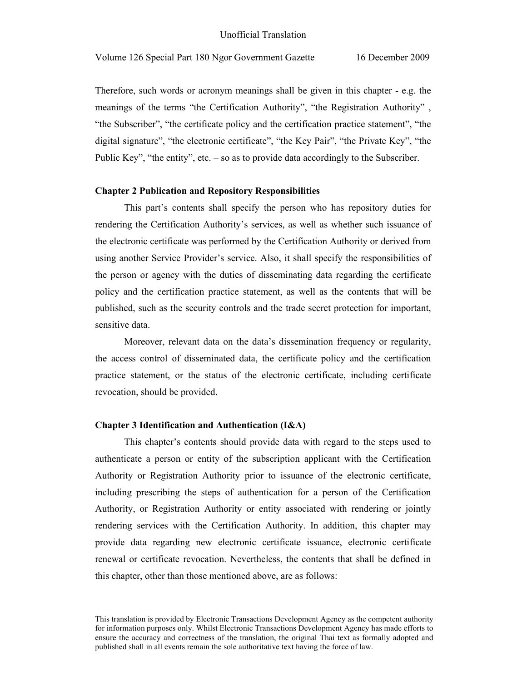Therefore, such words or acronym meanings shall be given in this chapter - e.g. the meanings of the terms "the Certification Authority", "the Registration Authority" , "the Subscriber", "the certificate policy and the certification practice statement", "the digital signature", "the electronic certificate", "the Key Pair", "the Private Key", "the Public Key", "the entity", etc. – so as to provide data accordingly to the Subscriber.

#### **Chapter 2 Publication and Repository Responsibilities**

 This part's contents shall specify the person who has repository duties for rendering the Certification Authority's services, as well as whether such issuance of the electronic certificate was performed by the Certification Authority or derived from using another Service Provider's service. Also, it shall specify the responsibilities of the person or agency with the duties of disseminating data regarding the certificate policy and the certification practice statement, as well as the contents that will be published, such as the security controls and the trade secret protection for important, sensitive data.

Moreover, relevant data on the data's dissemination frequency or regularity, the access control of disseminated data, the certificate policy and the certification practice statement, or the status of the electronic certificate, including certificate revocation, should be provided.

# **Chapter 3 Identification and Authentication (I&A)**

This chapter's contents should provide data with regard to the steps used to authenticate a person or entity of the subscription applicant with the Certification Authority or Registration Authority prior to issuance of the electronic certificate, including prescribing the steps of authentication for a person of the Certification Authority, or Registration Authority or entity associated with rendering or jointly rendering services with the Certification Authority. In addition, this chapter may provide data regarding new electronic certificate issuance, electronic certificate renewal or certificate revocation. Nevertheless, the contents that shall be defined in this chapter, other than those mentioned above, are as follows:

This translation is provided by Electronic Transactions Development Agency as the competent authority for information purposes only. Whilst Electronic Transactions Development Agency has made efforts to ensure the accuracy and correctness of the translation, the original Thai text as formally adopted and published shall in all events remain the sole authoritative text having the force of law.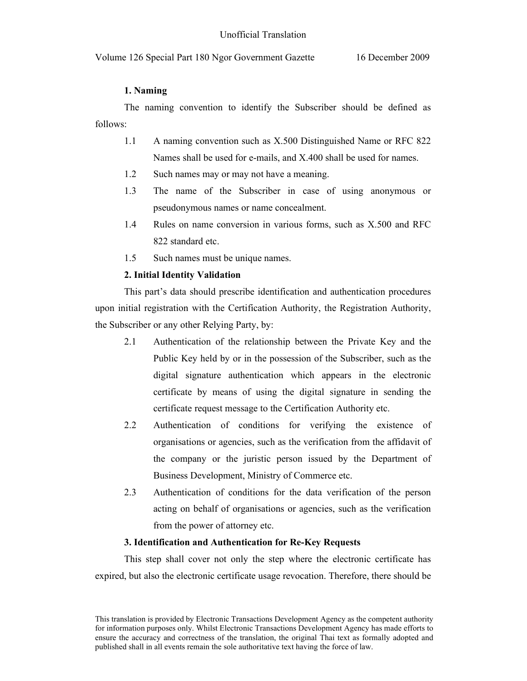# **1. Naming**

The naming convention to identify the Subscriber should be defined as follows:

- 1.1 A naming convention such as X.500 Distinguished Name or RFC 822 Names shall be used for e-mails, and X.400 shall be used for names.
- 1.2 Such names may or may not have a meaning.
- 1.3 The name of the Subscriber in case of using anonymous or pseudonymous names or name concealment.
- 1.4 Rules on name conversion in various forms, such as X.500 and RFC 822 standard etc.
- 1.5 Such names must be unique names.

# **2. Initial Identity Validation**

This part's data should prescribe identification and authentication procedures upon initial registration with the Certification Authority, the Registration Authority, the Subscriber or any other Relying Party, by:

- 2.1 Authentication of the relationship between the Private Key and the Public Key held by or in the possession of the Subscriber, such as the digital signature authentication which appears in the electronic certificate by means of using the digital signature in sending the certificate request message to the Certification Authority etc.
- 2.2 Authentication of conditions for verifying the existence of organisations or agencies, such as the verification from the affidavit of the company or the juristic person issued by the Department of Business Development, Ministry of Commerce etc.
- 2.3 Authentication of conditions for the data verification of the person acting on behalf of organisations or agencies, such as the verification from the power of attorney etc.

## **3. Identification and Authentication for Re-Key Requests**

This step shall cover not only the step where the electronic certificate has expired, but also the electronic certificate usage revocation. Therefore, there should be

This translation is provided by Electronic Transactions Development Agency as the competent authority for information purposes only. Whilst Electronic Transactions Development Agency has made efforts to ensure the accuracy and correctness of the translation, the original Thai text as formally adopted and published shall in all events remain the sole authoritative text having the force of law.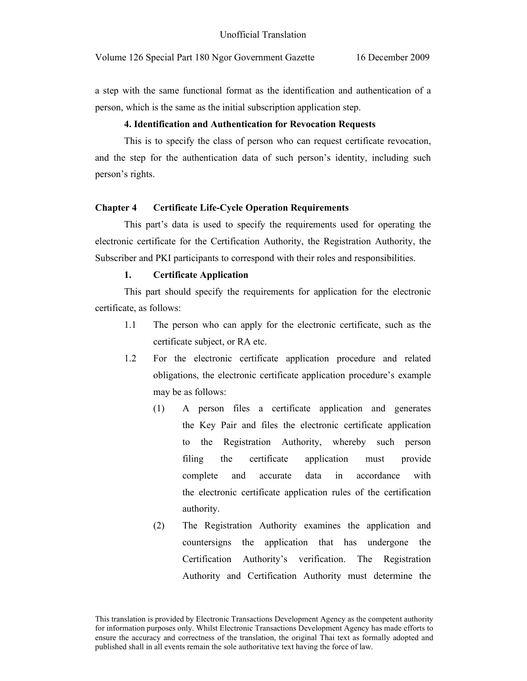a step with the same functional format as the identification and authentication of a person, which is the same as the initial subscription application step.

#### **4. Identification and Authentication for Revocation Requests**

This is to specify the class of person who can request certificate revocation, and the step for the authentication data of such person's identity, including such person's rights.

## **Chapter 4 Certificate Life-Cycle Operation Requirements**

This part's data is used to specify the requirements used for operating the electronic certificate for the Certification Authority, the Registration Authority, the Subscriber and PKI participants to correspond with their roles and responsibilities.

#### **1. Certificate Application**

This part should specify the requirements for application for the electronic certificate, as follows:

- 1.1 The person who can apply for the electronic certificate, such as the certificate subject, or RA etc.
- 1.2 For the electronic certificate application procedure and related obligations, the electronic certificate application procedure's example may be as follows:
	- (1) A person files a certificate application and generates the Key Pair and files the electronic certificate application to the Registration Authority, whereby such person filing the certificate application must provide complete and accurate data in accordance with the electronic certificate application rules of the certification authority.
	- (2) The Registration Authority examines the application and countersigns the application that has undergone the Certification Authority's verification. The Registration Authority and Certification Authority must determine the

This translation is provided by Electronic Transactions Development Agency as the competent authority for information purposes only. Whilst Electronic Transactions Development Agency has made efforts to ensure the accuracy and correctness of the translation, the original Thai text as formally adopted and published shall in all events remain the sole authoritative text having the force of law.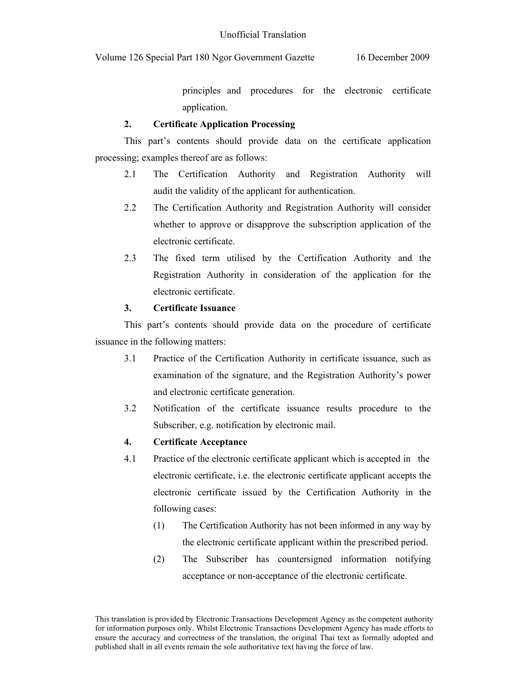principles and procedures for the electronic certificate application.

# **2. Certificate Application Processing**

This part's contents should provide data on the certificate application processing; examples thereof are as follows:

- 2.1 The Certification Authority and Registration Authority will audit the validity of the applicant for authentication.
- 2.2 The Certification Authority and Registration Authority will consider whether to approve or disapprove the subscription application of the electronic certificate.
- 2.3 The fixed term utilised by the Certification Authority and the Registration Authority in consideration of the application for the electronic certificate.

# **3. Certificate Issuance**

This part's contents should provide data on the procedure of certificate issuance in the following matters:

- 3.1 Practice of the Certification Authority in certificate issuance, such as examination of the signature, and the Registration Authority's power and electronic certificate generation.
- 3.2 Notification of the certificate issuance results procedure to the Subscriber, e.g. notification by electronic mail.

# **4. Certificate Acceptance**

- 4.1 Practice of the electronic certificate applicant which is accepted in the electronic certificate, i.e. the electronic certificate applicant accepts the electronic certificate issued by the Certification Authority in the following cases:
	- (1) The Certification Authority has not been informed in any way by the electronic certificate applicant within the prescribed period.
	- (2) The Subscriber has countersigned information notifying acceptance or non-acceptance of the electronic certificate.

This translation is provided by Electronic Transactions Development Agency as the competent authority for information purposes only. Whilst Electronic Transactions Development Agency has made efforts to ensure the accuracy and correctness of the translation, the original Thai text as formally adopted and published shall in all events remain the sole authoritative text having the force of law.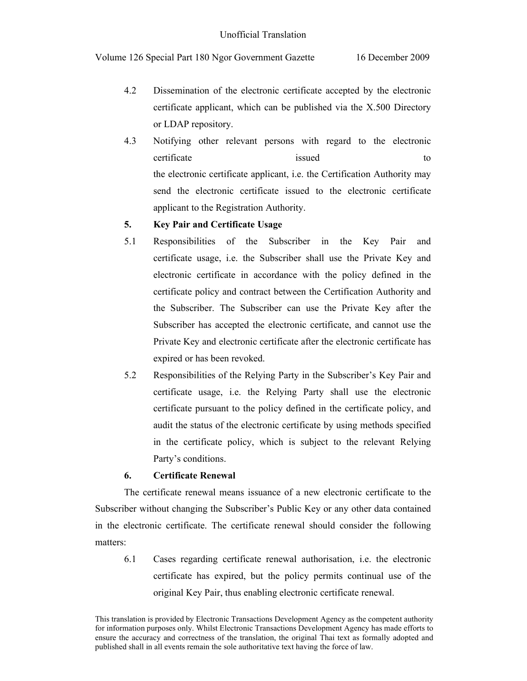- 4.2 Dissemination of the electronic certificate accepted by the electronic certificate applicant, which can be published via the X.500 Directory or LDAP repository.
- 4.3 Notifying other relevant persons with regard to the electronic certificate issued to to the electronic certificate applicant, i.e. the Certification Authority may send the electronic certificate issued to the electronic certificate applicant to the Registration Authority.

# **5. Key Pair and Certificate Usage**

- 5.1 Responsibilities of the Subscriber in the Key Pair and certificate usage, i.e. the Subscriber shall use the Private Key and electronic certificate in accordance with the policy defined in the certificate policy and contract between the Certification Authority and the Subscriber. The Subscriber can use the Private Key after the Subscriber has accepted the electronic certificate, and cannot use the Private Key and electronic certificate after the electronic certificate has expired or has been revoked.
- 5.2 Responsibilities of the Relying Party in the Subscriber's Key Pair and certificate usage, i.e. the Relying Party shall use the electronic certificate pursuant to the policy defined in the certificate policy, and audit the status of the electronic certificate by using methods specified in the certificate policy, which is subject to the relevant Relying Party's conditions.

# **6. Certificate Renewal**

The certificate renewal means issuance of a new electronic certificate to the Subscriber without changing the Subscriber's Public Key or any other data contained in the electronic certificate. The certificate renewal should consider the following matters:

6.1 Cases regarding certificate renewal authorisation, i.e. the electronic certificate has expired, but the policy permits continual use of the original Key Pair, thus enabling electronic certificate renewal.

This translation is provided by Electronic Transactions Development Agency as the competent authority for information purposes only. Whilst Electronic Transactions Development Agency has made efforts to ensure the accuracy and correctness of the translation, the original Thai text as formally adopted and published shall in all events remain the sole authoritative text having the force of law.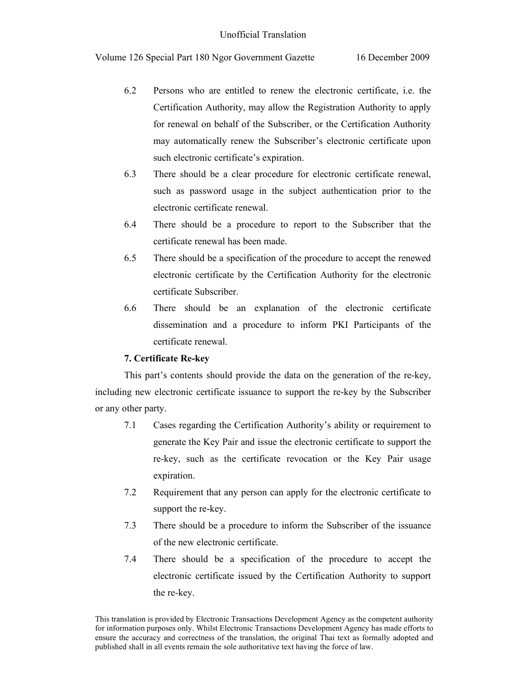- 6.2 Persons who are entitled to renew the electronic certificate, i.e. the Certification Authority, may allow the Registration Authority to apply for renewal on behalf of the Subscriber, or the Certification Authority may automatically renew the Subscriber's electronic certificate upon such electronic certificate's expiration.
- 6.3 There should be a clear procedure for electronic certificate renewal, such as password usage in the subject authentication prior to the electronic certificate renewal.
- 6.4 There should be a procedure to report to the Subscriber that the certificate renewal has been made.
- 6.5 There should be a specification of the procedure to accept the renewed electronic certificate by the Certification Authority for the electronic certificate Subscriber.
- 6.6 There should be an explanation of the electronic certificate dissemination and a procedure to inform PKI Participants of the certificate renewal.

## **7. Certificate Re-key**

This part's contents should provide the data on the generation of the re-key, including new electronic certificate issuance to support the re-key by the Subscriber or any other party.

- 7.1 Cases regarding the Certification Authority's ability or requirement to generate the Key Pair and issue the electronic certificate to support the re-key, such as the certificate revocation or the Key Pair usage expiration.
- 7.2 Requirement that any person can apply for the electronic certificate to support the re-key.
- 7.3 There should be a procedure to inform the Subscriber of the issuance of the new electronic certificate.
- 7.4 There should be a specification of the procedure to accept the electronic certificate issued by the Certification Authority to support the re-key.

This translation is provided by Electronic Transactions Development Agency as the competent authority for information purposes only. Whilst Electronic Transactions Development Agency has made efforts to ensure the accuracy and correctness of the translation, the original Thai text as formally adopted and published shall in all events remain the sole authoritative text having the force of law.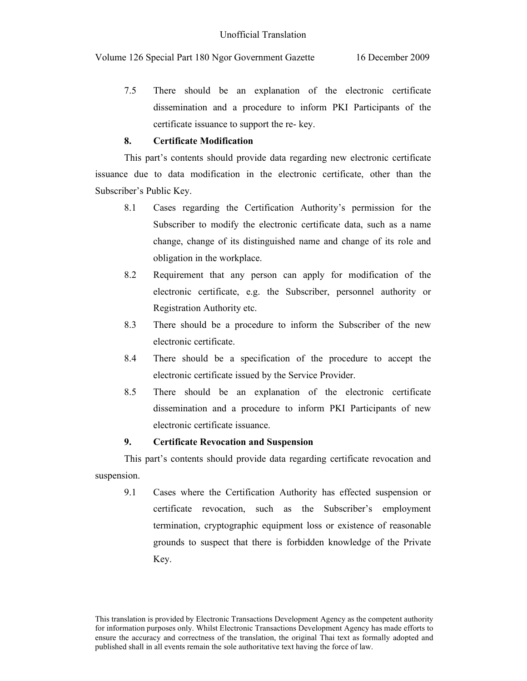7.5 There should be an explanation of the electronic certificate dissemination and a procedure to inform PKI Participants of the certificate issuance to support the re- key.

# **8. Certificate Modification**

This part's contents should provide data regarding new electronic certificate issuance due to data modification in the electronic certificate, other than the Subscriber's Public Key.

- 8.1 Cases regarding the Certification Authority's permission for the Subscriber to modify the electronic certificate data, such as a name change, change of its distinguished name and change of its role and obligation in the workplace.
- 8.2 Requirement that any person can apply for modification of the electronic certificate, e.g. the Subscriber, personnel authority or Registration Authority etc.
- 8.3 There should be a procedure to inform the Subscriber of the new electronic certificate.
- 8.4 There should be a specification of the procedure to accept the electronic certificate issued by the Service Provider.
- 8.5 There should be an explanation of the electronic certificate dissemination and a procedure to inform PKI Participants of new electronic certificate issuance.

# **9. Certificate Revocation and Suspension**

This part's contents should provide data regarding certificate revocation and suspension.

9.1 Cases where the Certification Authority has effected suspension or certificate revocation, such as the Subscriber's employment termination, cryptographic equipment loss or existence of reasonable grounds to suspect that there is forbidden knowledge of the Private Key.

This translation is provided by Electronic Transactions Development Agency as the competent authority for information purposes only. Whilst Electronic Transactions Development Agency has made efforts to ensure the accuracy and correctness of the translation, the original Thai text as formally adopted and published shall in all events remain the sole authoritative text having the force of law.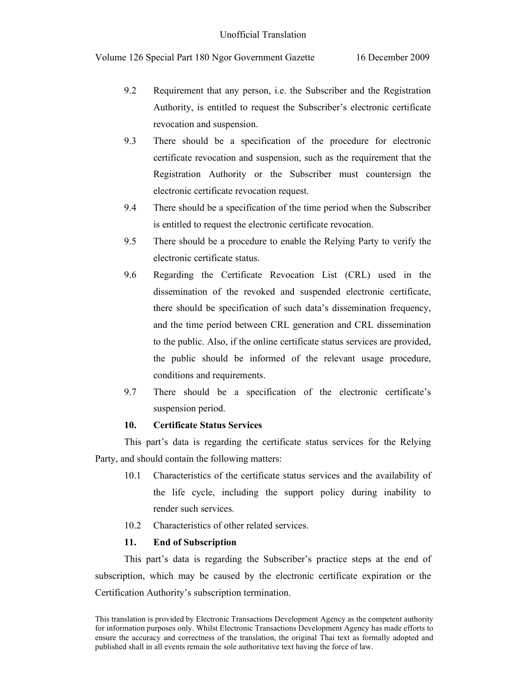- 9.2 Requirement that any person, i.e. the Subscriber and the Registration Authority, is entitled to request the Subscriber's electronic certificate revocation and suspension.
- 9.3 There should be a specification of the procedure for electronic certificate revocation and suspension, such as the requirement that the Registration Authority or the Subscriber must countersign the electronic certificate revocation request.
- 9.4 There should be a specification of the time period when the Subscriber is entitled to request the electronic certificate revocation.
- 9.5 There should be a procedure to enable the Relying Party to verify the electronic certificate status.
- 9.6 Regarding the Certificate Revocation List (CRL) used in the dissemination of the revoked and suspended electronic certificate, there should be specification of such data's dissemination frequency, and the time period between CRL generation and CRL dissemination to the public. Also, if the online certificate status services are provided, the public should be informed of the relevant usage procedure, conditions and requirements.
- 9.7 There should be a specification of the electronic certificate's suspension period.

# **10. Certificate Status Services**

This part's data is regarding the certificate status services for the Relying Party, and should contain the following matters:

- 10.1 Characteristics of the certificate status services and the availability of the life cycle, including the support policy during inability to render such services.
- 10.2 Characteristics of other related services.

## **11. End of Subscription**

This part's data is regarding the Subscriber's practice steps at the end of subscription, which may be caused by the electronic certificate expiration or the Certification Authority's subscription termination.

This translation is provided by Electronic Transactions Development Agency as the competent authority for information purposes only. Whilst Electronic Transactions Development Agency has made efforts to ensure the accuracy and correctness of the translation, the original Thai text as formally adopted and published shall in all events remain the sole authoritative text having the force of law.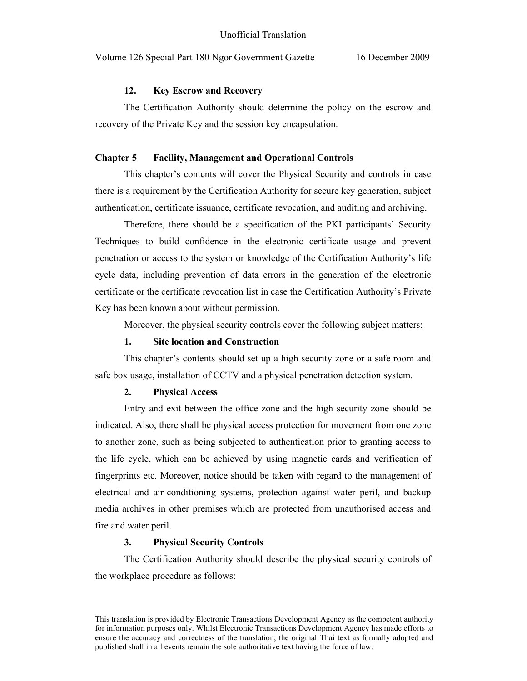#### **12. Key Escrow and Recovery**

The Certification Authority should determine the policy on the escrow and recovery of the Private Key and the session key encapsulation.

#### **Chapter 5 Facility, Management and Operational Controls**

 This chapter's contents will cover the Physical Security and controls in case there is a requirement by the Certification Authority for secure key generation, subject authentication, certificate issuance, certificate revocation, and auditing and archiving.

Therefore, there should be a specification of the PKI participants' Security Techniques to build confidence in the electronic certificate usage and prevent penetration or access to the system or knowledge of the Certification Authority's life cycle data, including prevention of data errors in the generation of the electronic certificate or the certificate revocation list in case the Certification Authority's Private Key has been known about without permission.

Moreover, the physical security controls cover the following subject matters:

#### **1. Site location and Construction**

This chapter's contents should set up a high security zone or a safe room and safe box usage, installation of CCTV and a physical penetration detection system.

### **2. Physical Access**

Entry and exit between the office zone and the high security zone should be indicated. Also, there shall be physical access protection for movement from one zone to another zone, such as being subjected to authentication prior to granting access to the life cycle, which can be achieved by using magnetic cards and verification of fingerprints etc. Moreover, notice should be taken with regard to the management of electrical and air-conditioning systems, protection against water peril, and backup media archives in other premises which are protected from unauthorised access and fire and water peril.

#### **3. Physical Security Controls**

The Certification Authority should describe the physical security controls of the workplace procedure as follows:

This translation is provided by Electronic Transactions Development Agency as the competent authority for information purposes only. Whilst Electronic Transactions Development Agency has made efforts to ensure the accuracy and correctness of the translation, the original Thai text as formally adopted and published shall in all events remain the sole authoritative text having the force of law.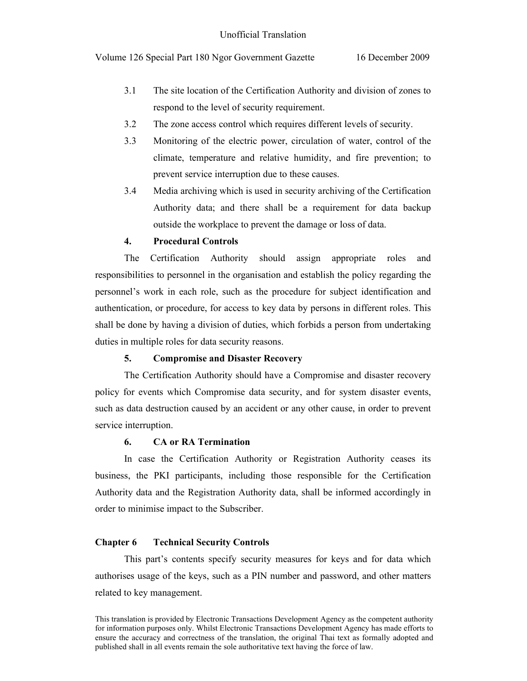- 3.1 The site location of the Certification Authority and division of zones to respond to the level of security requirement.
- 3.2 The zone access control which requires different levels of security.
- 3.3 Monitoring of the electric power, circulation of water, control of the climate, temperature and relative humidity, and fire prevention; to prevent service interruption due to these causes.
- 3.4 Media archiving which is used in security archiving of the Certification Authority data; and there shall be a requirement for data backup outside the workplace to prevent the damage or loss of data.

# **4. Procedural Controls**

The Certification Authority should assign appropriate roles and responsibilities to personnel in the organisation and establish the policy regarding the personnel's work in each role, such as the procedure for subject identification and authentication, or procedure, for access to key data by persons in different roles. This shall be done by having a division of duties, which forbids a person from undertaking duties in multiple roles for data security reasons.

## **5. Compromise and Disaster Recovery**

The Certification Authority should have a Compromise and disaster recovery policy for events which Compromise data security, and for system disaster events, such as data destruction caused by an accident or any other cause, in order to prevent service interruption.

# **6. CA or RA Termination**

In case the Certification Authority or Registration Authority ceases its business, the PKI participants, including those responsible for the Certification Authority data and the Registration Authority data, shall be informed accordingly in order to minimise impact to the Subscriber.

# **Chapter 6 Technical Security Controls**

 This part's contents specify security measures for keys and for data which authorises usage of the keys, such as a PIN number and password, and other matters related to key management.

This translation is provided by Electronic Transactions Development Agency as the competent authority for information purposes only. Whilst Electronic Transactions Development Agency has made efforts to ensure the accuracy and correctness of the translation, the original Thai text as formally adopted and published shall in all events remain the sole authoritative text having the force of law.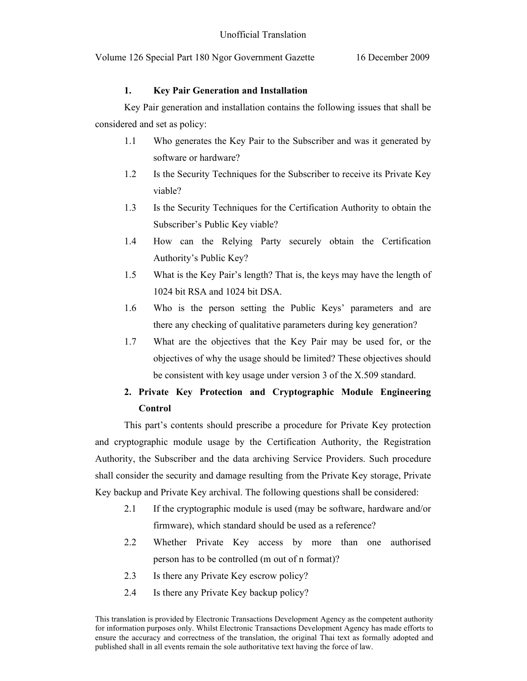## **1. Key Pair Generation and Installation**

 Key Pair generation and installation contains the following issues that shall be considered and set as policy:

- 1.1 Who generates the Key Pair to the Subscriber and was it generated by software or hardware?
- 1.2 Is the Security Techniques for the Subscriber to receive its Private Key viable?
- 1.3 Is the Security Techniques for the Certification Authority to obtain the Subscriber's Public Key viable?
- 1.4 How can the Relying Party securely obtain the Certification Authority's Public Key?
- 1.5 What is the Key Pair's length? That is, the keys may have the length of 1024 bit RSA and 1024 bit DSA.
- 1.6 Who is the person setting the Public Keys' parameters and are there any checking of qualitative parameters during key generation?
- 1.7 What are the objectives that the Key Pair may be used for, or the objectives of why the usage should be limited? These objectives should be consistent with key usage under version 3 of the X.509 standard.

# **2. Private Key Protection and Cryptographic Module Engineering Control**

This part's contents should prescribe a procedure for Private Key protection and cryptographic module usage by the Certification Authority, the Registration Authority, the Subscriber and the data archiving Service Providers. Such procedure shall consider the security and damage resulting from the Private Key storage, Private Key backup and Private Key archival. The following questions shall be considered:

- 2.1 If the cryptographic module is used (may be software, hardware and/or firmware), which standard should be used as a reference?
- 2.2 Whether Private Key access by more than one authorised person has to be controlled (m out of n format)?
- 2.3 Is there any Private Key escrow policy?
- 2.4 Is there any Private Key backup policy?

This translation is provided by Electronic Transactions Development Agency as the competent authority for information purposes only. Whilst Electronic Transactions Development Agency has made efforts to ensure the accuracy and correctness of the translation, the original Thai text as formally adopted and published shall in all events remain the sole authoritative text having the force of law.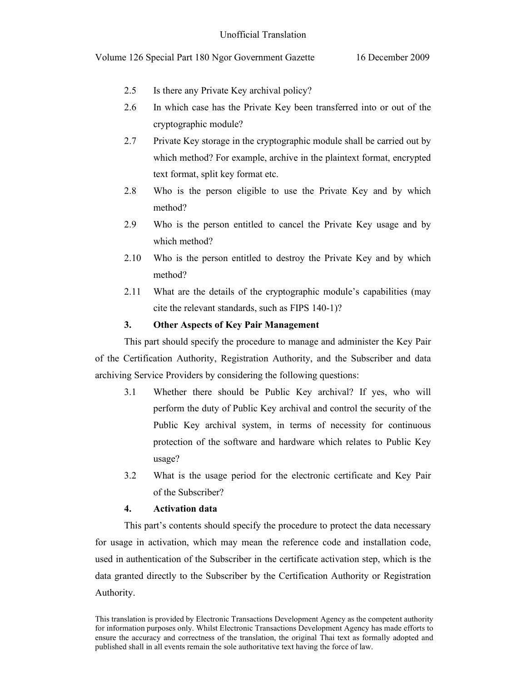- 2.5 Is there any Private Key archival policy?
- 2.6 In which case has the Private Key been transferred into or out of the cryptographic module?
- 2.7 Private Key storage in the cryptographic module shall be carried out by which method? For example, archive in the plaintext format, encrypted text format, split key format etc.
- 2.8 Who is the person eligible to use the Private Key and by which method?
- 2.9 Who is the person entitled to cancel the Private Key usage and by which method?
- 2.10 Who is the person entitled to destroy the Private Key and by which method?
- 2.11 What are the details of the cryptographic module's capabilities (may cite the relevant standards, such as FIPS 140-1)?

## **3. Other Aspects of Key Pair Management**

This part should specify the procedure to manage and administer the Key Pair of the Certification Authority, Registration Authority, and the Subscriber and data archiving Service Providers by considering the following questions:

- 3.1 Whether there should be Public Key archival? If yes, who will perform the duty of Public Key archival and control the security of the Public Key archival system, in terms of necessity for continuous protection of the software and hardware which relates to Public Key usage?
- 3.2 What is the usage period for the electronic certificate and Key Pair of the Subscriber?

## **4. Activation data**

This part's contents should specify the procedure to protect the data necessary for usage in activation, which may mean the reference code and installation code, used in authentication of the Subscriber in the certificate activation step, which is the data granted directly to the Subscriber by the Certification Authority or Registration Authority.

This translation is provided by Electronic Transactions Development Agency as the competent authority for information purposes only. Whilst Electronic Transactions Development Agency has made efforts to ensure the accuracy and correctness of the translation, the original Thai text as formally adopted and published shall in all events remain the sole authoritative text having the force of law.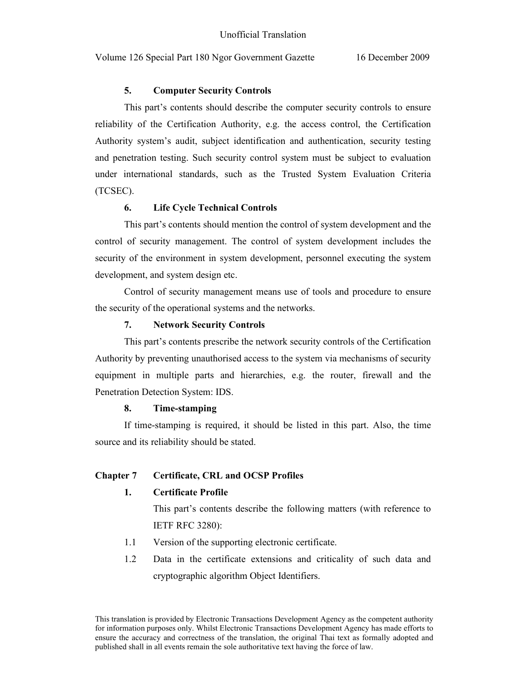# **5. Computer Security Controls**

This part's contents should describe the computer security controls to ensure reliability of the Certification Authority, e.g. the access control, the Certification Authority system's audit, subject identification and authentication, security testing and penetration testing. Such security control system must be subject to evaluation under international standards, such as the Trusted System Evaluation Criteria (TCSEC).

# **6. Life Cycle Technical Controls**

This part's contents should mention the control of system development and the control of security management. The control of system development includes the security of the environment in system development, personnel executing the system development, and system design etc.

Control of security management means use of tools and procedure to ensure the security of the operational systems and the networks.

## **7. Network Security Controls**

This part's contents prescribe the network security controls of the Certification Authority by preventing unauthorised access to the system via mechanisms of security equipment in multiple parts and hierarchies, e.g. the router, firewall and the Penetration Detection System: IDS.

## **8. Time-stamping**

If time-stamping is required, it should be listed in this part. Also, the time source and its reliability should be stated.

# **Chapter 7 Certificate, CRL and OCSP Profiles**

## **1. Certificate Profile**

This part's contents describe the following matters (with reference to IETF RFC 3280):

- 1.1 Version of the supporting electronic certificate.
- 1.2 Data in the certificate extensions and criticality of such data and cryptographic algorithm Object Identifiers.

This translation is provided by Electronic Transactions Development Agency as the competent authority for information purposes only. Whilst Electronic Transactions Development Agency has made efforts to ensure the accuracy and correctness of the translation, the original Thai text as formally adopted and published shall in all events remain the sole authoritative text having the force of law.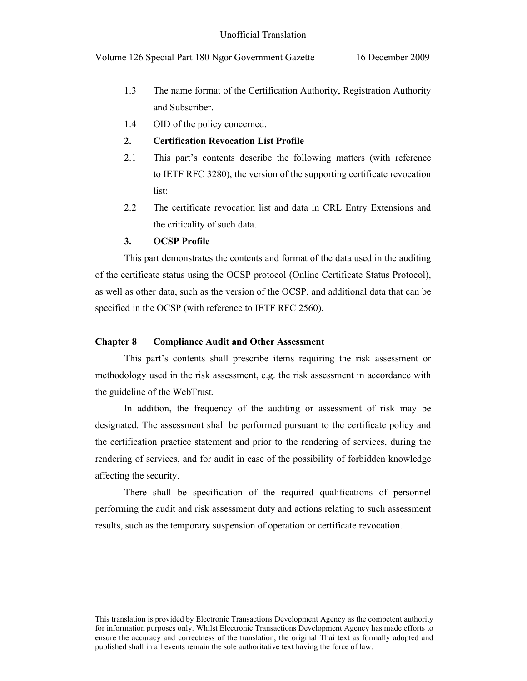- 1.3 The name format of the Certification Authority, Registration Authority and Subscriber.
- 1.4 OID of the policy concerned.

## **2. Certification Revocation List Profile**

- 2.1 This part's contents describe the following matters (with reference to IETF RFC 3280), the version of the supporting certificate revocation list:
- 2.2 The certificate revocation list and data in CRL Entry Extensions and the criticality of such data.

# **3. OCSP Profile**

 This part demonstrates the contents and format of the data used in the auditing of the certificate status using the OCSP protocol (Online Certificate Status Protocol), as well as other data, such as the version of the OCSP, and additional data that can be specified in the OCSP (with reference to IETF RFC 2560).

#### **Chapter 8 Compliance Audit and Other Assessment**

 This part's contents shall prescribe items requiring the risk assessment or methodology used in the risk assessment, e.g. the risk assessment in accordance with the guideline of the WebTrust.

In addition, the frequency of the auditing or assessment of risk may be designated. The assessment shall be performed pursuant to the certificate policy and the certification practice statement and prior to the rendering of services, during the rendering of services, and for audit in case of the possibility of forbidden knowledge affecting the security.

There shall be specification of the required qualifications of personnel performing the audit and risk assessment duty and actions relating to such assessment results, such as the temporary suspension of operation or certificate revocation.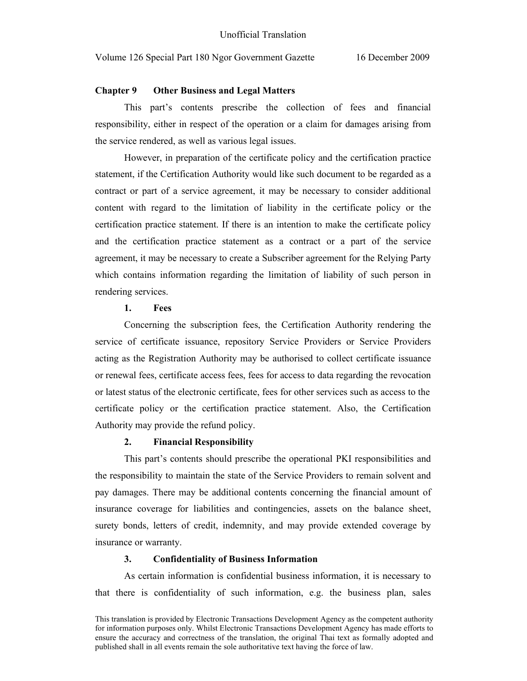#### **Chapter 9 Other Business and Legal Matters**

 This part's contents prescribe the collection of fees and financial responsibility, either in respect of the operation or a claim for damages arising from the service rendered, as well as various legal issues.

However, in preparation of the certificate policy and the certification practice statement, if the Certification Authority would like such document to be regarded as a contract or part of a service agreement, it may be necessary to consider additional content with regard to the limitation of liability in the certificate policy or the certification practice statement. If there is an intention to make the certificate policy and the certification practice statement as a contract or a part of the service agreement, it may be necessary to create a Subscriber agreement for the Relying Party which contains information regarding the limitation of liability of such person in rendering services.

### **1. Fees**

Concerning the subscription fees, the Certification Authority rendering the service of certificate issuance, repository Service Providers or Service Providers acting as the Registration Authority may be authorised to collect certificate issuance or renewal fees, certificate access fees, fees for access to data regarding the revocation or latest status of the electronic certificate, fees for other services such as access to the certificate policy or the certification practice statement. Also, the Certification Authority may provide the refund policy.

## **2. Financial Responsibility**

This part's contents should prescribe the operational PKI responsibilities and the responsibility to maintain the state of the Service Providers to remain solvent and pay damages. There may be additional contents concerning the financial amount of insurance coverage for liabilities and contingencies, assets on the balance sheet, surety bonds, letters of credit, indemnity, and may provide extended coverage by insurance or warranty.

#### **3. Confidentiality of Business Information**

As certain information is confidential business information, it is necessary to that there is confidentiality of such information, e.g. the business plan, sales

This translation is provided by Electronic Transactions Development Agency as the competent authority for information purposes only. Whilst Electronic Transactions Development Agency has made efforts to ensure the accuracy and correctness of the translation, the original Thai text as formally adopted and published shall in all events remain the sole authoritative text having the force of law.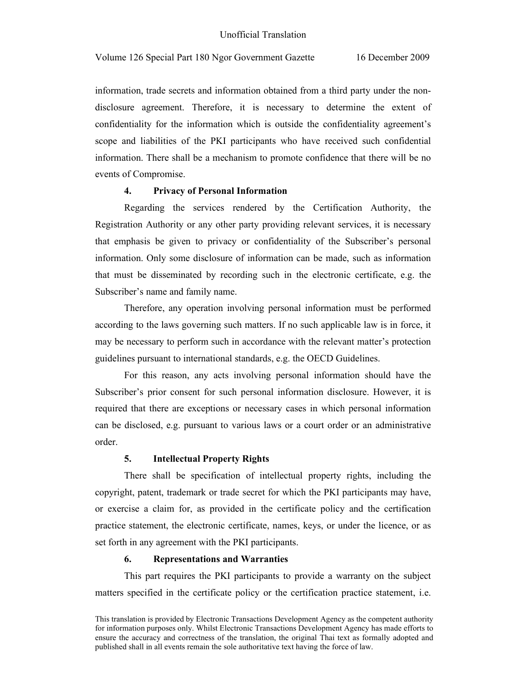information, trade secrets and information obtained from a third party under the nondisclosure agreement. Therefore, it is necessary to determine the extent of confidentiality for the information which is outside the confidentiality agreement's scope and liabilities of the PKI participants who have received such confidential information. There shall be a mechanism to promote confidence that there will be no events of Compromise.

#### **4. Privacy of Personal Information**

Regarding the services rendered by the Certification Authority, the Registration Authority or any other party providing relevant services, it is necessary that emphasis be given to privacy or confidentiality of the Subscriber's personal information. Only some disclosure of information can be made, such as information that must be disseminated by recording such in the electronic certificate, e.g. the Subscriber's name and family name.

Therefore, any operation involving personal information must be performed according to the laws governing such matters. If no such applicable law is in force, it may be necessary to perform such in accordance with the relevant matter's protection guidelines pursuant to international standards, e.g. the OECD Guidelines.

For this reason, any acts involving personal information should have the Subscriber's prior consent for such personal information disclosure. However, it is required that there are exceptions or necessary cases in which personal information can be disclosed, e.g. pursuant to various laws or a court order or an administrative order.

#### **5. Intellectual Property Rights**

There shall be specification of intellectual property rights, including the copyright, patent, trademark or trade secret for which the PKI participants may have, or exercise a claim for, as provided in the certificate policy and the certification practice statement, the electronic certificate, names, keys, or under the licence, or as set forth in any agreement with the PKI participants.

#### **6. Representations and Warranties**

This part requires the PKI participants to provide a warranty on the subject matters specified in the certificate policy or the certification practice statement, i.e.

This translation is provided by Electronic Transactions Development Agency as the competent authority for information purposes only. Whilst Electronic Transactions Development Agency has made efforts to ensure the accuracy and correctness of the translation, the original Thai text as formally adopted and published shall in all events remain the sole authoritative text having the force of law.